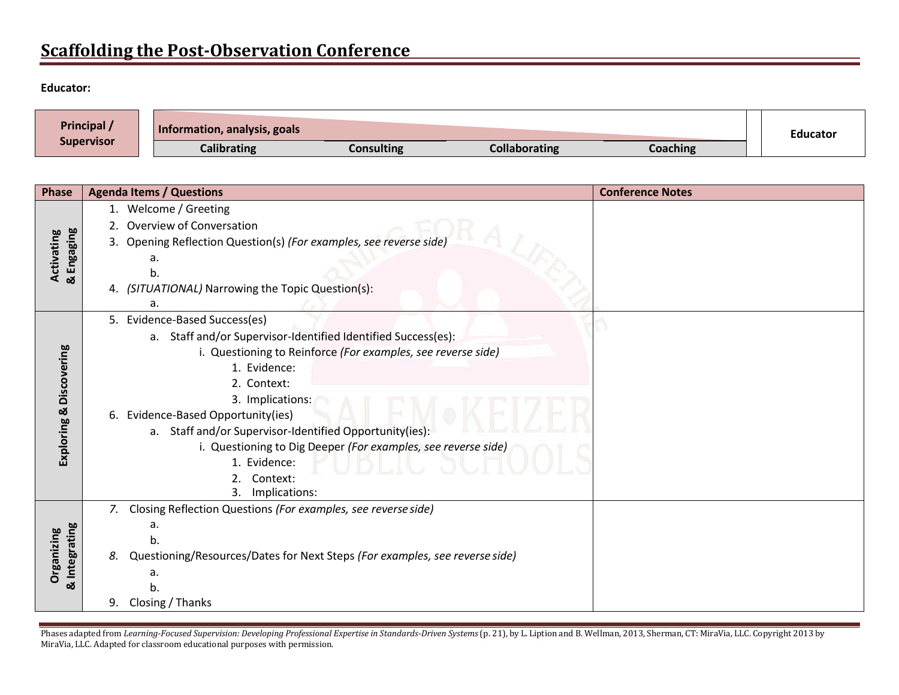# **Scaffolding the Post-Observation Conference**

#### **Educator:**

| Principal /       | Information, analysis, goals |                   |               |          |  | <b>Educator</b> |
|-------------------|------------------------------|-------------------|---------------|----------|--|-----------------|
| <b>Supervisor</b> | <b>Calibrating</b>           | <b>Consulting</b> | Collaborating | Coaching |  |                 |

| <b>Phase</b>                       |                                                                                   | <b>Agenda Items / Questions</b>                                    | <b>Conference Notes</b> |
|------------------------------------|-----------------------------------------------------------------------------------|--------------------------------------------------------------------|-------------------------|
| Activating                         |                                                                                   | 1. Welcome / Greeting                                              |                         |
|                                    | 2.                                                                                | Overview of Conversation                                           |                         |
|                                    |                                                                                   | 3. Opening Reflection Question(s) (For examples, see reverse side) |                         |
|                                    |                                                                                   | a.                                                                 |                         |
| & Engaging                         |                                                                                   | b.                                                                 |                         |
|                                    |                                                                                   | 4. (SITUATIONAL) Narrowing the Topic Question(s):                  |                         |
|                                    |                                                                                   | a.                                                                 |                         |
|                                    |                                                                                   | 5. Evidence-Based Success(es)                                      |                         |
| Discovering                        |                                                                                   | a. Staff and/or Supervisor-Identified Identified Success(es):      |                         |
|                                    |                                                                                   | i. Questioning to Reinforce (For examples, see reverse side)       |                         |
|                                    |                                                                                   | 1. Evidence:                                                       |                         |
|                                    |                                                                                   | 2. Context:                                                        |                         |
|                                    |                                                                                   | 3. Implications:                                                   |                         |
|                                    |                                                                                   | 6. Evidence-Based Opportunity(ies)                                 |                         |
| Exploring &                        |                                                                                   | a. Staff and/or Supervisor-Identified Opportunity(ies):            |                         |
|                                    |                                                                                   | i. Questioning to Dig Deeper (For examples, see reverse side)      |                         |
|                                    |                                                                                   | 1. Evidence:                                                       |                         |
|                                    | Context:                                                                          |                                                                    |                         |
|                                    |                                                                                   | Implications:<br>3.                                                |                         |
|                                    | 7.                                                                                | Closing Reflection Questions (For examples, see reverse side)      |                         |
| & Integrating<br><b>Organizing</b> |                                                                                   | a.                                                                 |                         |
|                                    |                                                                                   | b.                                                                 |                         |
|                                    | Questioning/Resources/Dates for Next Steps (For examples, see reverse side)<br>8. |                                                                    |                         |
|                                    |                                                                                   | а.                                                                 |                         |
|                                    |                                                                                   | b.                                                                 |                         |
|                                    | 9.                                                                                | Closing / Thanks                                                   |                         |

Phases adapted from Learning-Focused Supervision: Developing Professional Expertise in Standards-Driven Systems (p. 21), by L. Liption and B. Wellman, 2013, Sherman, CT: MiraVia, LLC. Copyright 2013 by MiraVia, LLC. Adapted for classroom educational purposes with permission.